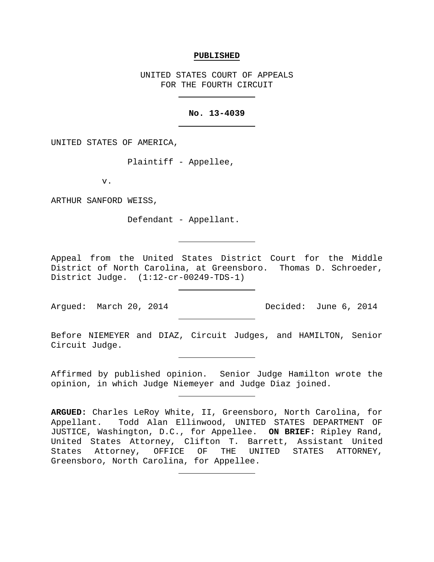#### **PUBLISHED**

UNITED STATES COURT OF APPEALS FOR THE FOURTH CIRCUIT

### **No. 13-4039**

UNITED STATES OF AMERICA,

Plaintiff - Appellee,

v.

ARTHUR SANFORD WEISS,

Defendant - Appellant.

Appeal from the United States District Court for the Middle District of North Carolina, at Greensboro. Thomas D. Schroeder, District Judge. (1:12-cr-00249-TDS-1)

Argued: March 20, 2014 Decided: June 6, 2014

Before NIEMEYER and DIAZ, Circuit Judges, and HAMILTON, Senior Circuit Judge.

Affirmed by published opinion. Senior Judge Hamilton wrote the opinion, in which Judge Niemeyer and Judge Diaz joined.

**ARGUED:** Charles LeRoy White, II, Greensboro, North Carolina, for Appellant. Todd Alan Ellinwood, UNITED STATES DEPARTMENT OF JUSTICE, Washington, D.C., for Appellee. **ON BRIEF:** Ripley Rand, United States Attorney, Clifton T. Barrett, Assistant United States Attorney, OFFICE OF THE UNITED STATES ATTORNEY, Greensboro, North Carolina, for Appellee.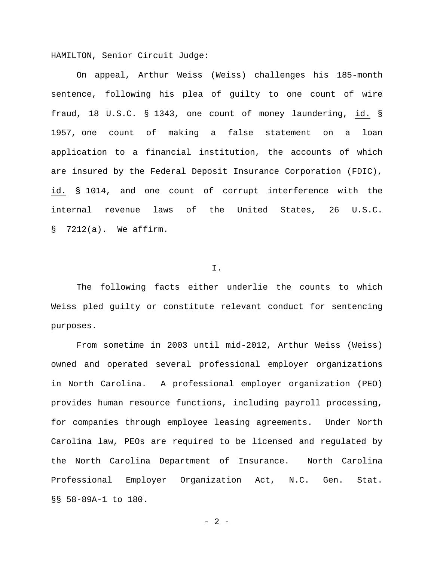HAMILTON, Senior Circuit Judge:

On appeal, Arthur Weiss (Weiss) challenges his 185-month sentence, following his plea of guilty to one count of wire fraud, 18 U.S.C. § 1343, one count of money laundering, id. § 1957, one count of making a false statement on a loan application to a financial institution, the accounts of which are insured by the Federal Deposit Insurance Corporation (FDIC), id. § 1014, and one count of corrupt interference with the internal revenue laws of the United States, 26 U.S.C. § 7212(a). We affirm.

#### I.

The following facts either underlie the counts to which Weiss pled guilty or constitute relevant conduct for sentencing purposes.

From sometime in 2003 until mid-2012, Arthur Weiss (Weiss) owned and operated several professional employer organizations in North Carolina. A professional employer organization (PEO) provides human resource functions, including payroll processing, for companies through employee leasing agreements. Under North Carolina law, PEOs are required to be licensed and regulated by the North Carolina Department of Insurance. North Carolina Professional Employer Organization Act, N.C. Gen. Stat. §§ 58-89A-1 to 180.

 $- 2 -$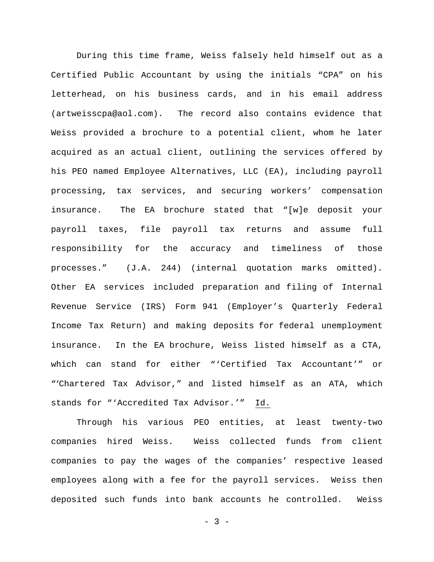During this time frame, Weiss falsely held himself out as a Certified Public Accountant by using the initials "CPA" on his letterhead, on his business cards, and in his email address (artweisscpa@aol.com). The record also contains evidence that Weiss provided a brochure to a potential client, whom he later acquired as an actual client, outlining the services offered by his PEO named Employee Alternatives, LLC (EA), including payroll processing, tax services, and securing workers' compensation insurance. The EA brochure stated that "[w]e deposit your payroll taxes, file payroll tax returns and assume full responsibility for the accuracy and timeliness of those processes." (J.A. 244) (internal quotation marks omitted). Other EA services included preparation and filing of Internal Revenue Service (IRS) Form 941 (Employer's Quarterly Federal Income Tax Return) and making deposits for federal unemployment insurance. In the EA brochure, Weiss listed himself as a CTA, which can stand for either "'Certified Tax Accountant'" or "'Chartered Tax Advisor," and listed himself as an ATA, which stands for "'Accredited Tax Advisor.'" Id.

Through his various PEO entities, at least twenty-two companies hired Weiss. Weiss collected funds from client companies to pay the wages of the companies' respective leased employees along with a fee for the payroll services. Weiss then deposited such funds into bank accounts he controlled. Weiss

 $- 3 -$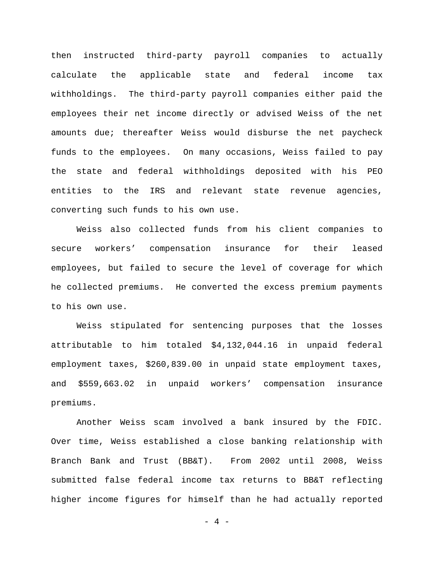then instructed third-party payroll companies to actually calculate the applicable state and federal income tax withholdings. The third-party payroll companies either paid the employees their net income directly or advised Weiss of the net amounts due; thereafter Weiss would disburse the net paycheck funds to the employees. On many occasions, Weiss failed to pay the state and federal withholdings deposited with his PEO entities to the IRS and relevant state revenue agencies, converting such funds to his own use.

Weiss also collected funds from his client companies to secure workers' compensation insurance for their leased employees, but failed to secure the level of coverage for which he collected premiums. He converted the excess premium payments to his own use.

Weiss stipulated for sentencing purposes that the losses attributable to him totaled \$4,132,044.16 in unpaid federal employment taxes, \$260,839.00 in unpaid state employment taxes, and \$559,663.02 in unpaid workers' compensation insurance premiums.

Another Weiss scam involved a bank insured by the FDIC. Over time, Weiss established a close banking relationship with Branch Bank and Trust (BB&T). From 2002 until 2008, Weiss submitted false federal income tax returns to BB&T reflecting higher income figures for himself than he had actually reported

 $- 4 -$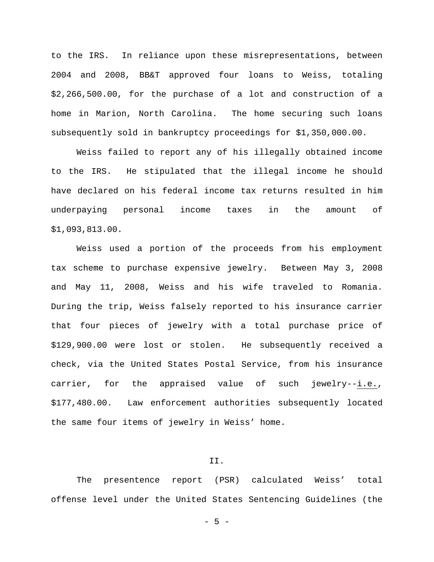to the IRS. In reliance upon these misrepresentations, between 2004 and 2008, BB&T approved four loans to Weiss, totaling \$2,266,500.00, for the purchase of a lot and construction of a home in Marion, North Carolina. The home securing such loans subsequently sold in bankruptcy proceedings for \$1,350,000.00.

Weiss failed to report any of his illegally obtained income to the IRS. He stipulated that the illegal income he should have declared on his federal income tax returns resulted in him underpaying personal income taxes in the amount of \$1,093,813.00.

Weiss used a portion of the proceeds from his employment tax scheme to purchase expensive jewelry. Between May 3, 2008 and May 11, 2008, Weiss and his wife traveled to Romania. During the trip, Weiss falsely reported to his insurance carrier that four pieces of jewelry with a total purchase price of \$129,900.00 were lost or stolen. He subsequently received a check, via the United States Postal Service, from his insurance carrier, for the appraised value of such jewelry--i.e., \$177,480.00. Law enforcement authorities subsequently located the same four items of jewelry in Weiss' home.

# II.

The presentence report (PSR) calculated Weiss' total offense level under the United States Sentencing Guidelines (the

- 5 -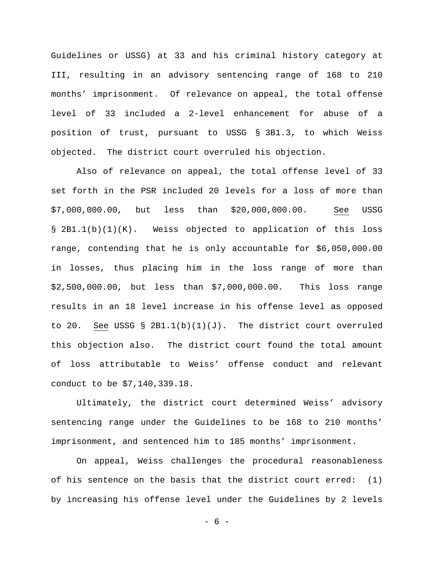Guidelines or USSG) at 33 and his criminal history category at III, resulting in an advisory sentencing range of 168 to 210 months' imprisonment. Of relevance on appeal, the total offense level of 33 included a 2-level enhancement for abuse of a position of trust, pursuant to USSG § 3B1.3, to which Weiss objected. The district court overruled his objection.

Also of relevance on appeal, the total offense level of 33 set forth in the PSR included 20 levels for a loss of more than \$7,000,000.00, but less than \$20,000,000.00. See USSG § 2B1.1(b)(1)(K). Weiss objected to application of this loss range, contending that he is only accountable for \$6,050,000.00 in losses, thus placing him in the loss range of more than \$2,500,000.00, but less than \$7,000,000.00. This loss range results in an 18 level increase in his offense level as opposed to 20. See USSG § 2B1.1(b)(1)(J). The district court overruled this objection also. The district court found the total amount of loss attributable to Weiss' offense conduct and relevant conduct to be \$7,140,339.18.

Ultimately, the district court determined Weiss' advisory sentencing range under the Guidelines to be 168 to 210 months' imprisonment, and sentenced him to 185 months' imprisonment.

On appeal, Weiss challenges the procedural reasonableness of his sentence on the basis that the district court erred: (1) by increasing his offense level under the Guidelines by 2 levels

- 6 -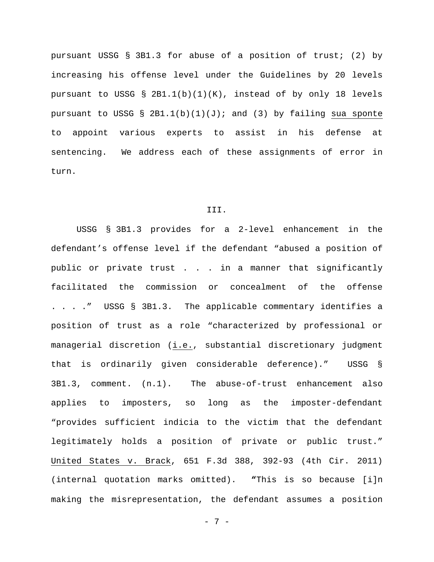pursuant USSG § 3B1.3 for abuse of a position of trust; (2) by increasing his offense level under the Guidelines by 20 levels pursuant to USSG § 2B1.1(b)(1)(K), instead of by only 18 levels pursuant to USSG §  $2B1.1(b)(1)(J)$ ; and (3) by failing sua sponte to appoint various experts to assist in his defense at sentencing. We address each of these assignments of error in turn.

### III.

USSG § 3B1.3 provides for a 2-level enhancement in the defendant's offense level if the defendant "abused a position of public or private trust . . . in a manner that significantly facilitated the commission or concealment of the offense . . . ." USSG § 3B1.3. The applicable commentary identifies a position of trust as a role "characterized by professional or managerial discretion (i.e., substantial discretionary judgment that is ordinarily given considerable deference)." USSG § 3B1.3, comment. (n.1). The abuse-of-trust enhancement also applies to imposters, so long as the imposter-defendant "provides sufficient indicia to the victim that the defendant legitimately holds a position of private or public trust." United States v. Brack, 651 F.3d 388, 392-93 (4th Cir. 2011) (internal quotation marks omitted). **"**This is so because [i]n making the misrepresentation, the defendant assumes a position

- 7 -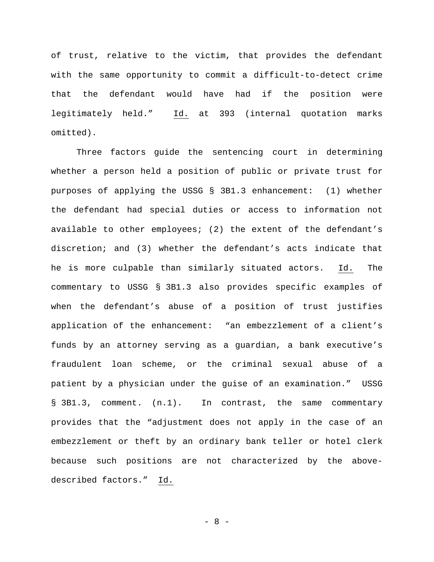of trust, relative to the victim, that provides the defendant with the same opportunity to commit a difficult-to-detect crime that the defendant would have had if the position were legitimately held." Id. at 393 (internal quotation marks omitted).

Three factors guide the sentencing court in determining whether a person held a position of public or private trust for purposes of applying the USSG § 3B1.3 enhancement: (1) whether the defendant had special duties or access to information not available to other employees; (2) the extent of the defendant's discretion; and (3) whether the defendant's acts indicate that he is more culpable than similarly situated actors. Id. The commentary to USSG § 3B1.3 also provides specific examples of when the defendant's abuse of a position of trust justifies application of the enhancement: "an embezzlement of a client's funds by an attorney serving as a guardian, a bank executive's fraudulent loan scheme, or the criminal sexual abuse of a patient by a physician under the guise of an examination." USSG § 3B1.3, comment. (n.1). In contrast, the same commentary provides that the "adjustment does not apply in the case of an embezzlement or theft by an ordinary bank teller or hotel clerk because such positions are not characterized by the abovedescribed factors." Id.

- 8 -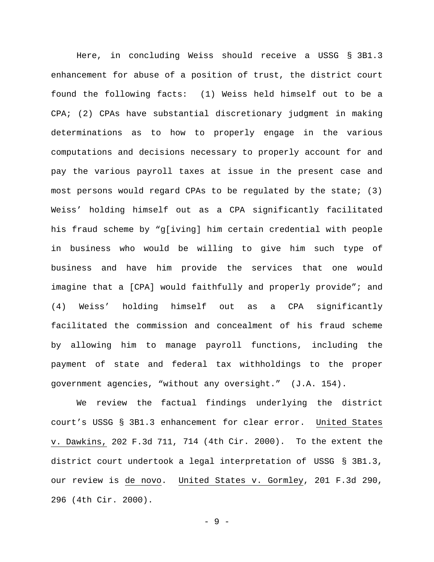Here, in concluding Weiss should receive a USSG § 3B1.3 enhancement for abuse of a position of trust, the district court found the following facts: (1) Weiss held himself out to be a CPA; (2) CPAs have substantial discretionary judgment in making determinations as to how to properly engage in the various computations and decisions necessary to properly account for and pay the various payroll taxes at issue in the present case and most persons would regard CPAs to be regulated by the state; (3) Weiss' holding himself out as a CPA significantly facilitated his fraud scheme by "g[iving] him certain credential with people in business who would be willing to give him such type of business and have him provide the services that one would imagine that a [CPA] would faithfully and properly provide"; and (4) Weiss' holding himself out as a CPA significantly facilitated the commission and concealment of his fraud scheme by allowing him to manage payroll functions, including the payment of state and federal tax withholdings to the proper government agencies, "without any oversight." (J.A. 154).

We review the factual findings underlying the district court's USSG § 3B1.3 enhancement for clear error. United States v. Dawkins, 202 F.3d 711, 714 (4th Cir. 2000). To the extent the district court undertook a legal interpretation of USSG § 3B1.3, our review is de novo. United States v. Gormley, 201 F.3d 290, 296 (4th Cir. 2000).

- 9 -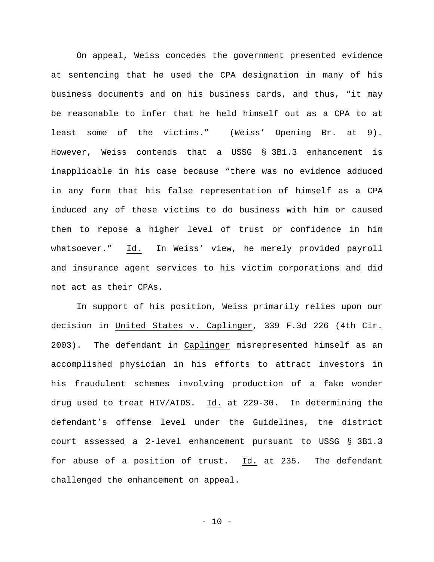On appeal, Weiss concedes the government presented evidence at sentencing that he used the CPA designation in many of his business documents and on his business cards, and thus, "it may be reasonable to infer that he held himself out as a CPA to at least some of the victims." (Weiss' Opening Br. at 9). However, Weiss contends that a USSG § 3B1.3 enhancement is inapplicable in his case because "there was no evidence adduced in any form that his false representation of himself as a CPA induced any of these victims to do business with him or caused them to repose a higher level of trust or confidence in him whatsoever." Id. In Weiss' view, he merely provided payroll and insurance agent services to his victim corporations and did not act as their CPAs.

In support of his position, Weiss primarily relies upon our decision in United States v. Caplinger, 339 F.3d 226 (4th Cir. 2003). The defendant in Caplinger misrepresented himself as an accomplished physician in his efforts to attract investors in his fraudulent schemes involving production of a fake wonder drug used to treat HIV/AIDS. Id. at 229-30. In determining the defendant's offense level under the Guidelines, the district court assessed a 2-level enhancement pursuant to USSG § 3B1.3 for abuse of a position of trust. Id. at 235. The defendant challenged the enhancement on appeal.

 $- 10 -$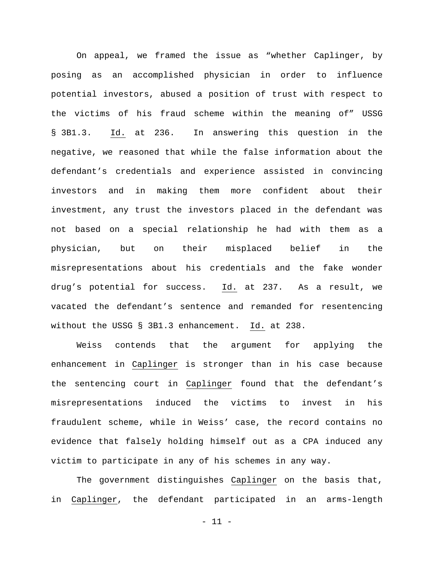On appeal, we framed the issue as "whether Caplinger, by posing as an accomplished physician in order to influence potential investors, abused a position of trust with respect to the victims of his fraud scheme within the meaning of" USSG § 3B1.3. Id. at 236. In answering this question in the negative, we reasoned that while the false information about the defendant's credentials and experience assisted in convincing investors and in making them more confident about their investment, any trust the investors placed in the defendant was not based on a special relationship he had with them as a physician, but on their misplaced belief in the misrepresentations about his credentials and the fake wonder drug's potential for success. Id. at 237. As a result, we vacated the defendant's sentence and remanded for resentencing without the USSG § 3B1.3 enhancement. Id. at 238.

Weiss contends that the argument for applying the enhancement in Caplinger is stronger than in his case because the sentencing court in Caplinger found that the defendant's misrepresentations induced the victims to invest in his fraudulent scheme, while in Weiss' case, the record contains no evidence that falsely holding himself out as a CPA induced any victim to participate in any of his schemes in any way.

The government distinguishes Caplinger on the basis that, in Caplinger, the defendant participated in an arms-length

- 11 -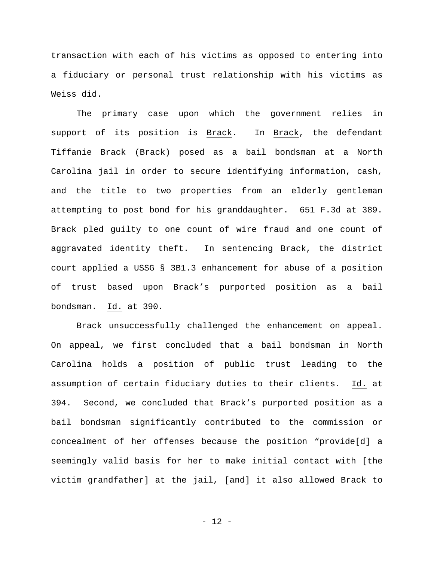transaction with each of his victims as opposed to entering into a fiduciary or personal trust relationship with his victims as Weiss did.

The primary case upon which the government relies in support of its position is Brack. In Brack, the defendant Tiffanie Brack (Brack) posed as a bail bondsman at a North Carolina jail in order to secure identifying information, cash, and the title to two properties from an elderly gentleman attempting to post bond for his granddaughter. 651 F.3d at 389. Brack pled guilty to one count of wire fraud and one count of aggravated identity theft. In sentencing Brack, the district court applied a USSG § 3B1.3 enhancement for abuse of a position of trust based upon Brack's purported position as a bail bondsman. Id. at 390.

Brack unsuccessfully challenged the enhancement on appeal. On appeal, we first concluded that a bail bondsman in North Carolina holds a position of public trust leading to the assumption of certain fiduciary duties to their clients. Id. at 394. Second, we concluded that Brack's purported position as a bail bondsman significantly contributed to the commission or concealment of her offenses because the position "provide[d] a seemingly valid basis for her to make initial contact with [the victim grandfather] at the jail, [and] it also allowed Brack to

 $- 12 -$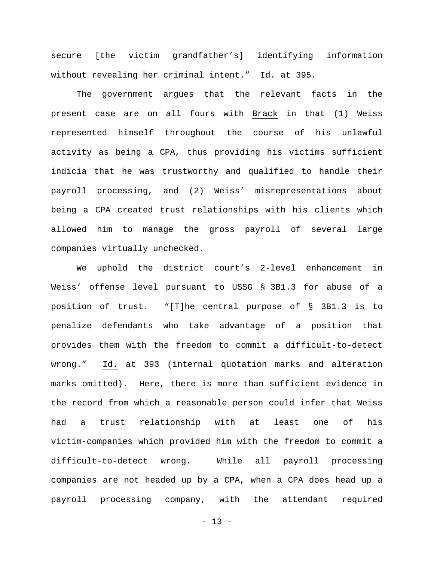secure [the victim grandfather's] identifying information without revealing her criminal intent." Id. at 395.

The government argues that the relevant facts in the present case are on all fours with Brack in that (1) Weiss represented himself throughout the course of his unlawful activity as being a CPA, thus providing his victims sufficient indicia that he was trustworthy and qualified to handle their payroll processing, and (2) Weiss' misrepresentations about being a CPA created trust relationships with his clients which allowed him to manage the gross payroll of several large companies virtually unchecked.

We uphold the district court's 2-level enhancement in Weiss' offense level pursuant to USSG § 3B1.3 for abuse of a position of trust. "[T]he central purpose of § 3B1.3 is to penalize defendants who take advantage of a position that provides them with the freedom to commit a difficult-to-detect wrong." Id. at 393 (internal quotation marks and alteration marks omitted). Here, there is more than sufficient evidence in the record from which a reasonable person could infer that Weiss had a trust relationship with at least one of his victim-companies which provided him with the freedom to commit a difficult-to-detect wrong. While all payroll processing companies are not headed up by a CPA, when a CPA does head up a payroll processing company, with the attendant required

- 13 -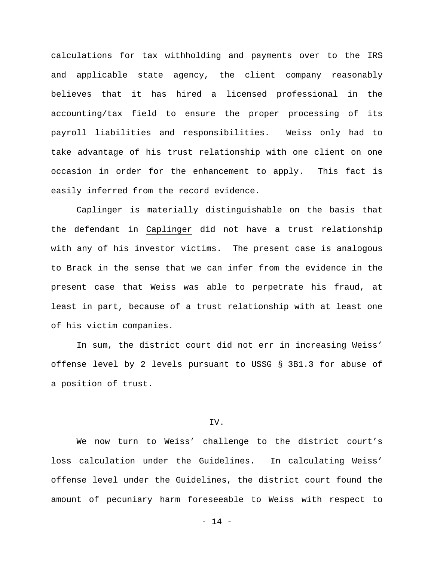calculations for tax withholding and payments over to the IRS and applicable state agency, the client company reasonably believes that it has hired a licensed professional in the accounting/tax field to ensure the proper processing of its payroll liabilities and responsibilities. Weiss only had to take advantage of his trust relationship with one client on one occasion in order for the enhancement to apply. This fact is easily inferred from the record evidence.

Caplinger is materially distinguishable on the basis that the defendant in Caplinger did not have a trust relationship with any of his investor victims. The present case is analogous to Brack in the sense that we can infer from the evidence in the present case that Weiss was able to perpetrate his fraud, at least in part, because of a trust relationship with at least one of his victim companies.

In sum, the district court did not err in increasing Weiss' offense level by 2 levels pursuant to USSG § 3B1.3 for abuse of a position of trust.

## IV.

We now turn to Weiss' challenge to the district court's loss calculation under the Guidelines. In calculating Weiss' offense level under the Guidelines, the district court found the amount of pecuniary harm foreseeable to Weiss with respect to

- 14 -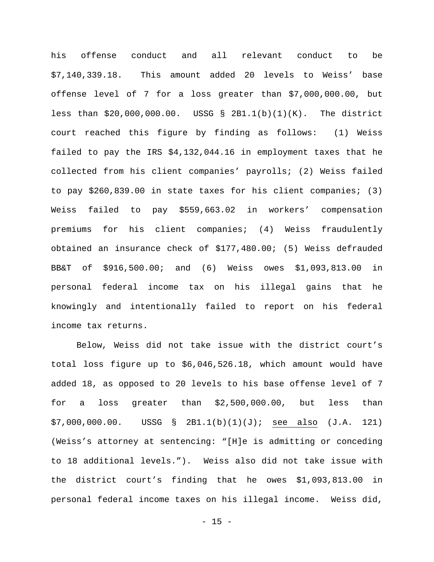his offense conduct and all relevant conduct to be \$7,140,339.18. This amount added 20 levels to Weiss' base offense level of 7 for a loss greater than \$7,000,000.00, but less than \$20,000,000.00. USSG § 2B1.1(b)(1)(K). The district court reached this figure by finding as follows: (1) Weiss failed to pay the IRS \$4,132,044.16 in employment taxes that he collected from his client companies' payrolls; (2) Weiss failed to pay \$260,839.00 in state taxes for his client companies; (3) Weiss failed to pay \$559,663.02 in workers' compensation premiums for his client companies; (4) Weiss fraudulently obtained an insurance check of \$177,480.00; (5) Weiss defrauded BB&T of \$916,500.00; and (6) Weiss owes \$1,093,813.00 in personal federal income tax on his illegal gains that he knowingly and intentionally failed to report on his federal income tax returns.

Below, Weiss did not take issue with the district court's total loss figure up to \$6,046,526.18, which amount would have added 18, as opposed to 20 levels to his base offense level of 7 for a loss greater than \$2,500,000.00, but less than \$7,000,000.00. USSG § 2B1.1(b)(1)(J); see also (J.A. 121) (Weiss's attorney at sentencing: "[H]e is admitting or conceding to 18 additional levels."). Weiss also did not take issue with the district court's finding that he owes \$1,093,813.00 in personal federal income taxes on his illegal income. Weiss did,

 $- 15 -$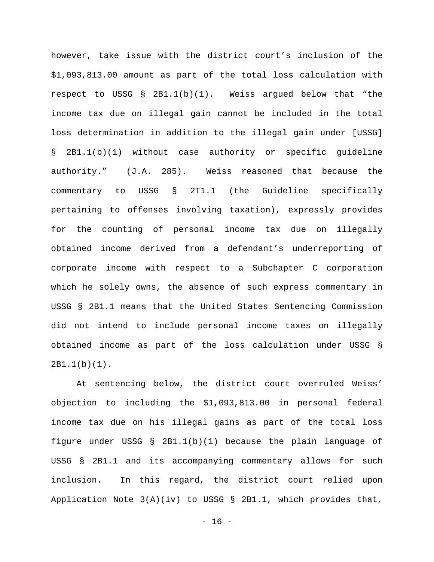however, take issue with the district court's inclusion of the \$1,093,813.00 amount as part of the total loss calculation with respect to USSG § 2B1.1(b)(1). Weiss argued below that "the income tax due on illegal gain cannot be included in the total loss determination in addition to the illegal gain under [USSG] § 2B1.1(b)(1) without case authority or specific guideline authority." (J.A. 285). Weiss reasoned that because the commentary to USSG § 2T1.1 (the Guideline specifically pertaining to offenses involving taxation), expressly provides for the counting of personal income tax due on illegally obtained income derived from a defendant's underreporting of corporate income with respect to a Subchapter C corporation which he solely owns, the absence of such express commentary in USSG § 2B1.1 means that the United States Sentencing Commission did not intend to include personal income taxes on illegally obtained income as part of the loss calculation under USSG § 2B1.1(b)(1).

At sentencing below, the district court overruled Weiss' objection to including the \$1,093,813.00 in personal federal income tax due on his illegal gains as part of the total loss figure under USSG § 2B1.1(b)(1) because the plain language of USSG § 2B1.1 and its accompanying commentary allows for such inclusion. In this regard, the district court relied upon Application Note 3(A)(iv) to USSG § 2B1.1, which provides that,

- 16 -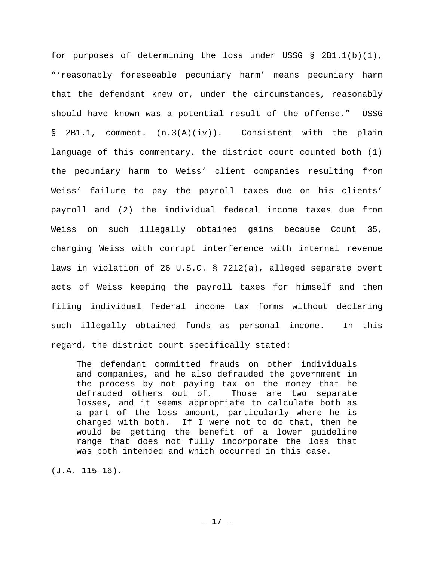for purposes of determining the loss under USSG § 2B1.1(b)(1), "'reasonably foreseeable pecuniary harm' means pecuniary harm that the defendant knew or, under the circumstances, reasonably should have known was a potential result of the offense." USSG § 2B1.1, comment. (n.3(A)(iv)). Consistent with the plain language of this commentary, the district court counted both (1) the pecuniary harm to Weiss' client companies resulting from Weiss' failure to pay the payroll taxes due on his clients' payroll and (2) the individual federal income taxes due from Weiss on such illegally obtained gains because Count 35, charging Weiss with corrupt interference with internal revenue laws in violation of 26 U.S.C. § 7212(a), alleged separate overt acts of Weiss keeping the payroll taxes for himself and then filing individual federal income tax forms without declaring such illegally obtained funds as personal income. In this regard, the district court specifically stated:

The defendant committed frauds on other individuals and companies, and he also defrauded the government in the process by not paying tax on the money that he<br>defrauded others out of. Those are two separate defrauded others out of. losses, and it seems appropriate to calculate both as a part of the loss amount, particularly where he is charged with both. If I were not to do that, then he would be getting the benefit of a lower guideline range that does not fully incorporate the loss that was both intended and which occurred in this case.

(J.A. 115-16).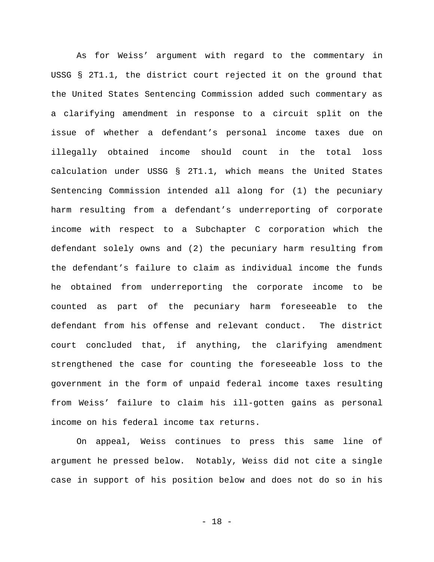As for Weiss' argument with regard to the commentary in USSG § 2T1.1, the district court rejected it on the ground that the United States Sentencing Commission added such commentary as a clarifying amendment in response to a circuit split on the issue of whether a defendant's personal income taxes due on illegally obtained income should count in the total loss calculation under USSG § 2T1.1, which means the United States Sentencing Commission intended all along for (1) the pecuniary harm resulting from a defendant's underreporting of corporate income with respect to a Subchapter C corporation which the defendant solely owns and (2) the pecuniary harm resulting from the defendant's failure to claim as individual income the funds he obtained from underreporting the corporate income to be counted as part of the pecuniary harm foreseeable to the defendant from his offense and relevant conduct. The district court concluded that, if anything, the clarifying amendment strengthened the case for counting the foreseeable loss to the government in the form of unpaid federal income taxes resulting from Weiss' failure to claim his ill-gotten gains as personal income on his federal income tax returns.

On appeal, Weiss continues to press this same line of argument he pressed below. Notably, Weiss did not cite a single case in support of his position below and does not do so in his

- 18 -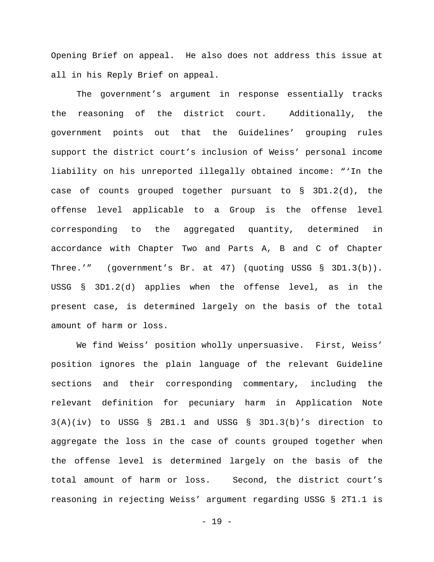Opening Brief on appeal. He also does not address this issue at all in his Reply Brief on appeal.

The government's argument in response essentially tracks the reasoning of the district court. Additionally, the government points out that the Guidelines' grouping rules support the district court's inclusion of Weiss' personal income liability on his unreported illegally obtained income: "'In the case of counts grouped together pursuant to § 3D1.2(d), the offense level applicable to a Group is the offense level corresponding to the aggregated quantity, determined in accordance with Chapter Two and Parts A, B and C of Chapter Three.'" (government's Br. at 47) (quoting USSG § 3D1.3(b)). USSG § 3D1.2(d) applies when the offense level, as in the present case, is determined largely on the basis of the total amount of harm or loss.

We find Weiss' position wholly unpersuasive. First, Weiss' position ignores the plain language of the relevant Guideline sections and their corresponding commentary, including the relevant definition for pecuniary harm in Application Note  $3(A)(iv)$  to USSG § 2B1.1 and USSG § 3D1.3(b)'s direction to aggregate the loss in the case of counts grouped together when the offense level is determined largely on the basis of the total amount of harm or loss. Second, the district court's reasoning in rejecting Weiss' argument regarding USSG § 2T1.1 is

- 19 -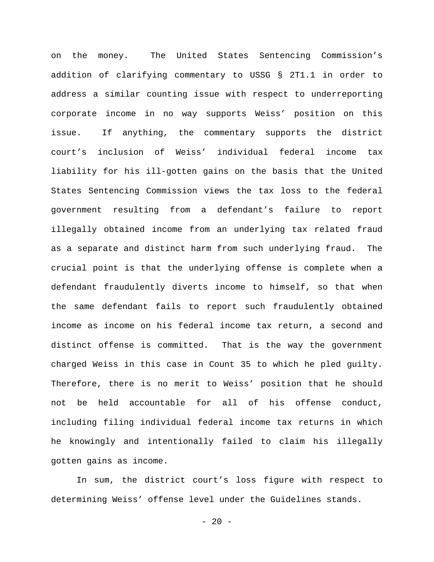on the money. The United States Sentencing Commission's addition of clarifying commentary to USSG § 2T1.1 in order to address a similar counting issue with respect to underreporting corporate income in no way supports Weiss' position on this issue. If anything, the commentary supports the district court's inclusion of Weiss' individual federal income tax liability for his ill-gotten gains on the basis that the United States Sentencing Commission views the tax loss to the federal government resulting from a defendant's failure to report illegally obtained income from an underlying tax related fraud as a separate and distinct harm from such underlying fraud. The crucial point is that the underlying offense is complete when a defendant fraudulently diverts income to himself, so that when the same defendant fails to report such fraudulently obtained income as income on his federal income tax return, a second and distinct offense is committed. That is the way the government charged Weiss in this case in Count 35 to which he pled guilty. Therefore, there is no merit to Weiss' position that he should not be held accountable for all of his offense conduct, including filing individual federal income tax returns in which he knowingly and intentionally failed to claim his illegally gotten gains as income.

In sum, the district court's loss figure with respect to determining Weiss' offense level under the Guidelines stands.

 $- 20 -$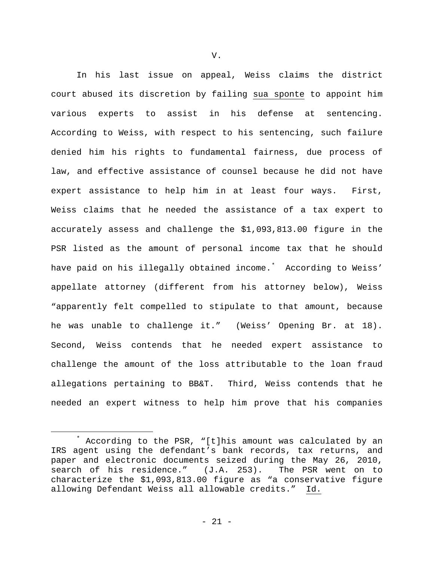In his last issue on appeal, Weiss claims the district court abused its discretion by failing sua sponte to appoint him various experts to assist in his defense at sentencing. According to Weiss, with respect to his sentencing, such failure denied him his rights to fundamental fairness, due process of law, and effective assistance of counsel because he did not have expert assistance to help him in at least four ways. First, Weiss claims that he needed the assistance of a tax expert to accurately assess and challenge the \$1,093,813.00 figure in the PSR listed as the amount of personal income tax that he should have paid on his illegally obtained income.[\\*](#page-20-0) According to Weiss' appellate attorney (different from his attorney below), Weiss "apparently felt compelled to stipulate to that amount, because he was unable to challenge it." (Weiss' Opening Br. at 18). Second, Weiss contends that he needed expert assistance to challenge the amount of the loss attributable to the loan fraud allegations pertaining to BB&T. Third, Weiss contends that he needed an expert witness to help him prove that his companies

V.

<span id="page-20-0"></span>According to the PSR, "[t]his amount was calculated by an IRS agent using the defendant's bank records, tax returns, and paper and electronic documents seized during the May 26, 2010, search of his residence." (J.A. 253). The PSR went on to characterize the \$1,093,813.00 figure as "a conservative figure allowing Defendant Weiss all allowable credits." Id.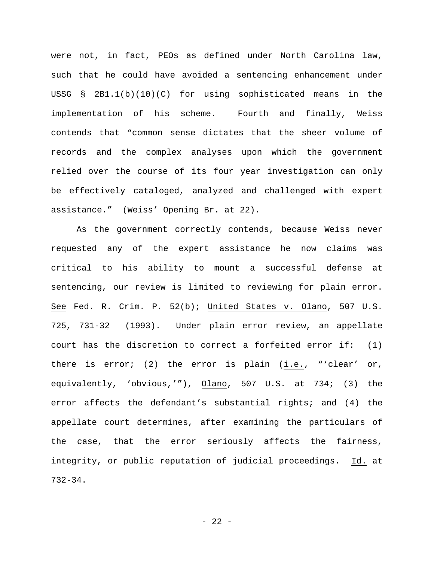were not, in fact, PEOs as defined under North Carolina law, such that he could have avoided a sentencing enhancement under USSG § 2B1.1(b)(10)(C) for using sophisticated means in the implementation of his scheme. Fourth and finally, Weiss contends that "common sense dictates that the sheer volume of records and the complex analyses upon which the government relied over the course of its four year investigation can only be effectively cataloged, analyzed and challenged with expert assistance." (Weiss' Opening Br. at 22).

As the government correctly contends, because Weiss never requested any of the expert assistance he now claims was critical to his ability to mount a successful defense at sentencing, our review is limited to reviewing for plain error. See Fed. R. Crim. P. 52(b); United States v. Olano, 507 U.S. 725, 731-32 (1993). Under plain error review, an appellate court has the discretion to correct a forfeited error if: (1) there is error; (2) the error is plain (i.e., "'clear' or, equivalently, 'obvious,'"), Olano, 507 U.S. at 734; (3) the error affects the defendant's substantial rights; and (4) the appellate court determines, after examining the particulars of the case, that the error seriously affects the fairness, integrity, or public reputation of judicial proceedings. Id. at 732-34.

- 22 -